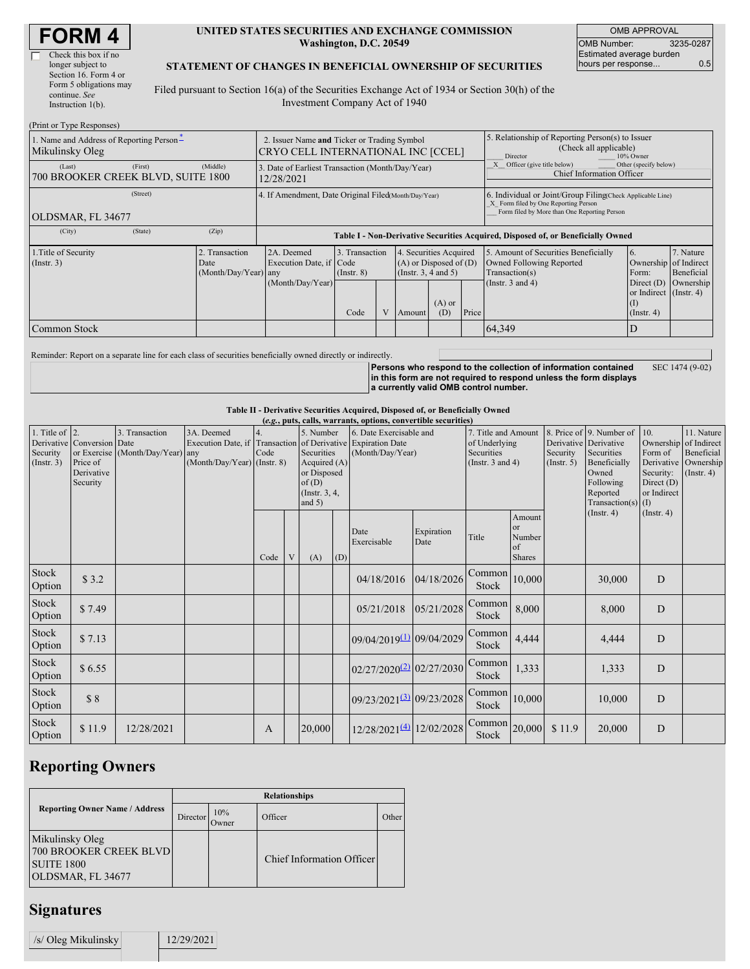| <b>FORM4</b> |  |
|--------------|--|
|--------------|--|

| Check this box if no   |
|------------------------|
| longer subject to      |
| Section 16. Form 4 or  |
| Form 5 obligations may |
| continue. See          |
| Instruction $1(b)$ .   |

#### **UNITED STATES SECURITIES AND EXCHANGE COMMISSION Washington, D.C. 20549**

OMB APPROVAL OMB Number: 3235-0287 Estimated average burden hours per response... 0.5

#### **STATEMENT OF CHANGES IN BENEFICIAL OWNERSHIP OF SECURITIES**

Filed pursuant to Section 16(a) of the Securities Exchange Act of 1934 or Section 30(h) of the Investment Company Act of 1940

| (Print or Type Responses)                                   |                                                                                   |                                                                                                                                                                                                                                       |  |  |  |                                                                                                             |                                                                                                                                                    |                                                                                         |  |  |  |
|-------------------------------------------------------------|-----------------------------------------------------------------------------------|---------------------------------------------------------------------------------------------------------------------------------------------------------------------------------------------------------------------------------------|--|--|--|-------------------------------------------------------------------------------------------------------------|----------------------------------------------------------------------------------------------------------------------------------------------------|-----------------------------------------------------------------------------------------|--|--|--|
| 1. Name and Address of Reporting Person-<br>Mikulinsky Oleg | 2. Issuer Name and Ticker or Trading Symbol<br>CRYO CELL INTERNATIONAL INC [CCEL] |                                                                                                                                                                                                                                       |  |  |  |                                                                                                             | 5. Relationship of Reporting Person(s) to Issuer<br>(Check all applicable)<br>10% Owner<br>Director                                                |                                                                                         |  |  |  |
| (First)<br>(Last)<br>700 BROOKER CREEK BLVD, SUITE 1800     | (Middle)                                                                          | 3. Date of Earliest Transaction (Month/Day/Year)<br>12/28/2021                                                                                                                                                                        |  |  |  |                                                                                                             |                                                                                                                                                    | Officer (give title below)<br>Other (specify below)<br><b>Chief Information Officer</b> |  |  |  |
| (Street)<br>OLDSMAR, FL 34677                               |                                                                                   | 4. If Amendment, Date Original Filed Month/Day/Year)                                                                                                                                                                                  |  |  |  |                                                                                                             | 6. Individual or Joint/Group Filing Check Applicable Line)<br>X Form filed by One Reporting Person<br>Form filed by More than One Reporting Person |                                                                                         |  |  |  |
| (City)<br>(State)                                           | (Zip)                                                                             | Table I - Non-Derivative Securities Acquired, Disposed of, or Beneficially Owned                                                                                                                                                      |  |  |  |                                                                                                             |                                                                                                                                                    |                                                                                         |  |  |  |
| 1. Title of Security<br>(Insert. 3)                         | 2. Transaction<br>Date<br>(Month/Day/Year) any                                    | 2A. Deemed<br>3. Transaction<br>4. Securities Acquired<br>$(A)$ or Disposed of $(D)$<br>Execution Date, if Code<br>(Instr. $3, 4$ and $5$ )<br>$($ Instr. $8)$<br>(Month/Day/Year)<br>$(A)$ or<br>Code<br>V<br>Price<br>(D)<br>Amount |  |  |  | 5. Amount of Securities Beneficially<br>Owned Following Reported<br>Transaction(s)<br>(Instr. $3$ and $4$ ) | 6.<br>Ownership of Indirect<br>Form:<br>Direct $(D)$<br>or Indirect (Instr. 4)<br>(1)<br>$($ Instr. 4)                                             | 7. Nature<br>Beneficial<br>Ownership                                                    |  |  |  |
| Common Stock                                                |                                                                                   |                                                                                                                                                                                                                                       |  |  |  |                                                                                                             |                                                                                                                                                    | 64,349                                                                                  |  |  |  |

Reminder: Report on a separate line for each class of securities beneficially owned directly or indirectly.

**Persons who respond to the collection of information contained in this form are not required to respond unless the form displays a currently valid OMB control number.** SEC 1474 (9-02)

**Table II - Derivative Securities Acquired, Disposed of, or Beneficially Owned**

|                                                   | (e.g., puts, calls, warrants, options, convertible securities)   |                                                    |                                                                                                           |      |   |                                                                                              |     |                                             |                    |                                                                             |                                                          |                         |                                                                                                                                     |                                                                                                  |                                                                     |
|---------------------------------------------------|------------------------------------------------------------------|----------------------------------------------------|-----------------------------------------------------------------------------------------------------------|------|---|----------------------------------------------------------------------------------------------|-----|---------------------------------------------|--------------------|-----------------------------------------------------------------------------|----------------------------------------------------------|-------------------------|-------------------------------------------------------------------------------------------------------------------------------------|--------------------------------------------------------------------------------------------------|---------------------------------------------------------------------|
| 1. Title of $\vert$ 2.<br>Security<br>(Insert. 3) | Derivative Conversion Date<br>Price of<br>Derivative<br>Security | 3. Transaction<br>or Exercise (Month/Day/Year) any | 3A. Deemed<br>Execution Date, if Transaction of Derivative Expiration Date<br>(Month/Day/Year) (Instr. 8) | Code |   | 5. Number<br>Securities<br>Acquired (A)<br>or Disposed<br>of(D)<br>(Instr. 3, 4,<br>and $5)$ |     | 6. Date Exercisable and<br>(Month/Day/Year) |                    | 7. Title and Amount<br>of Underlying<br>Securities<br>(Instr. $3$ and $4$ ) |                                                          | Security<br>(Insert. 5) | 8. Price of 9. Number of<br>Derivative Derivative<br>Securities<br>Beneficially<br>Owned<br>Following<br>Reported<br>Transaction(s) | 10.<br>Ownership<br>Form of<br>Derivative<br>Security:<br>Direct $(D)$<br>or Indirect<br>$(\Pi)$ | 11. Nature<br>of Indirect<br>Beneficial<br>Ownership<br>(Insert. 4) |
|                                                   |                                                                  |                                                    |                                                                                                           | Code | V | (A)                                                                                          | (D) | Date<br>Exercisable                         | Expiration<br>Date | Title                                                                       | Amount<br><sub>or</sub><br>Number<br>of<br><b>Shares</b> |                         | (Insert 4)                                                                                                                          | (Insert. 4)                                                                                      |                                                                     |
| Stock<br>Option                                   | \$3.2                                                            |                                                    |                                                                                                           |      |   |                                                                                              |     | 04/18/2016                                  | 04/18/2026         | Common<br>Stock                                                             | 10,000                                                   |                         | 30,000                                                                                                                              | D                                                                                                |                                                                     |
| Stock<br>Option                                   | \$7.49                                                           |                                                    |                                                                                                           |      |   |                                                                                              |     | 05/21/2018                                  | 05/21/2028         | Common<br>Stock                                                             | 8,000                                                    |                         | 8,000                                                                                                                               | D                                                                                                |                                                                     |
| Stock<br>Option                                   | \$7.13                                                           |                                                    |                                                                                                           |      |   |                                                                                              |     | 09/04/2019(1) 09/04/2029                    |                    | Common<br>Stock                                                             | 4,444                                                    |                         | 4,444                                                                                                                               | $\overline{D}$                                                                                   |                                                                     |
| Stock<br>Option                                   | \$6.55                                                           |                                                    |                                                                                                           |      |   |                                                                                              |     | 02/27/2020 <sup>(2)</sup> 02/27/2030        |                    | Common<br>Stock                                                             | 1,333                                                    |                         | 1,333                                                                                                                               | D                                                                                                |                                                                     |
| Stock<br>Option                                   | \$8                                                              |                                                    |                                                                                                           |      |   |                                                                                              |     | 09/23/2021 <sup>(3)</sup> 09/23/2028        |                    | Common<br>Stock                                                             | 10,000                                                   |                         | 10,000                                                                                                                              | D                                                                                                |                                                                     |
| Stock<br>Option                                   | \$11.9                                                           | 12/28/2021                                         |                                                                                                           | A    |   | 20,000                                                                                       |     | 12/28/2021 <sup>(4)</sup> 12/02/2028        |                    | $\boxed{\text{Common}}$ 20,000<br>Stock                                     |                                                          | \$11.9                  | 20,000                                                                                                                              | D                                                                                                |                                                                     |

### **Reporting Owners**

|                                                                                     | <b>Relationships</b> |              |                           |       |  |  |  |  |
|-------------------------------------------------------------------------------------|----------------------|--------------|---------------------------|-------|--|--|--|--|
| <b>Reporting Owner Name / Address</b>                                               | Director             | 10%<br>Owner | Officer                   | Other |  |  |  |  |
| Mikulinsky Oleg<br>700 BROOKER CREEK BLVD<br><b>SUITE 1800</b><br>OLDSMAR, FL 34677 |                      |              | Chief Information Officer |       |  |  |  |  |

## **Signatures**

| /s/ Oleg Mikulinsky | 12/29/2021 |
|---------------------|------------|
|                     |            |